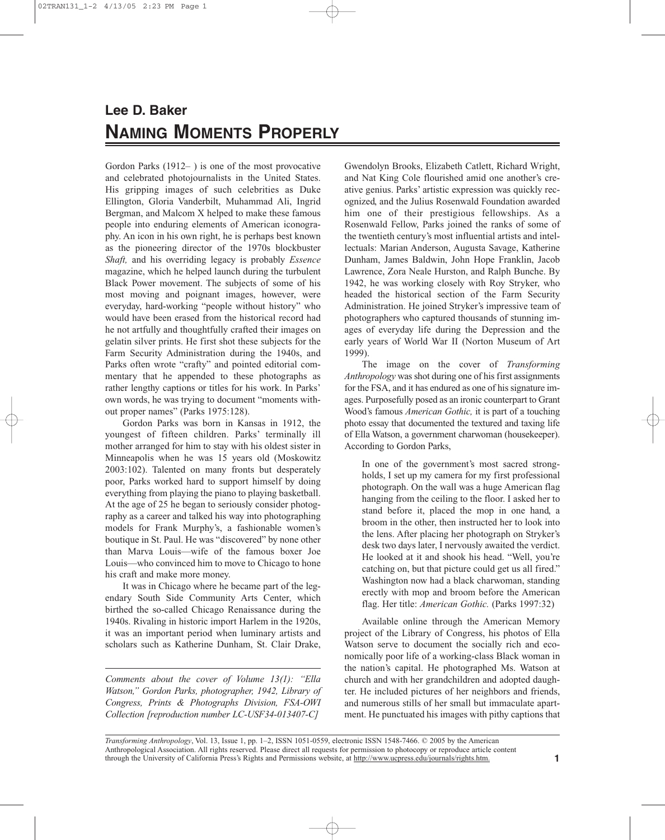## **Lee D. Baker NAMING MOMENTS PROPERLY**

Gordon Parks (1912– ) is one of the most provocative and celebrated photojournalists in the United States. His gripping images of such celebrities as Duke Ellington, Gloria Vanderbilt, Muhammad Ali, Ingrid Bergman, and Malcom X helped to make these famous people into enduring elements of American iconography. An icon in his own right, he is perhaps best known as the pioneering director of the 1970s blockbuster *Shaft,* and his overriding legacy is probably *Essence* magazine, which he helped launch during the turbulent Black Power movement. The subjects of some of his most moving and poignant images, however, were everyday, hard-working "people without history" who would have been erased from the historical record had he not artfully and thoughtfully crafted their images on gelatin silver prints. He first shot these subjects for the Farm Security Administration during the 1940s, and Parks often wrote "crafty" and pointed editorial commentary that he appended to these photographs as rather lengthy captions or titles for his work. In Parks' own words, he was trying to document "moments without proper names" (Parks 1975:128).

Gordon Parks was born in Kansas in 1912, the youngest of fifteen children. Parks' terminally ill mother arranged for him to stay with his oldest sister in Minneapolis when he was 15 years old (Moskowitz 2003:102). Talented on many fronts but desperately poor, Parks worked hard to support himself by doing everything from playing the piano to playing basketball. At the age of 25 he began to seriously consider photography as a career and talked his way into photographing models for Frank Murphy's, a fashionable women's boutique in St. Paul. He was "discovered" by none other than Marva Louis—wife of the famous boxer Joe Louis—who convinced him to move to Chicago to hone his craft and make more money.

It was in Chicago where he became part of the legendary South Side Community Arts Center, which birthed the so-called Chicago Renaissance during the 1940s. Rivaling in historic import Harlem in the 1920s, it was an important period when luminary artists and scholars such as Katherine Dunham, St. Clair Drake,

*Comments about the cover of Volume 13(1): "Ella Watson," Gordon Parks, photographer, 1942, Library of Congress, Prints & Photographs Division, FSA-OWI Collection [reproduction number LC-USF34-013407-C]*

Gwendolyn Brooks, Elizabeth Catlett, Richard Wright, and Nat King Cole flourished amid one another's creative genius. Parks' artistic expression was quickly recognized, and the Julius Rosenwald Foundation awarded him one of their prestigious fellowships. As a Rosenwald Fellow, Parks joined the ranks of some of the twentieth century's most influential artists and intellectuals: Marian Anderson, Augusta Savage, Katherine Dunham, James Baldwin, John Hope Franklin, Jacob Lawrence, Zora Neale Hurston, and Ralph Bunche. By 1942, he was working closely with Roy Stryker, who headed the historical section of the Farm Security Administration. He joined Stryker's impressive team of photographers who captured thousands of stunning images of everyday life during the Depression and the early years of World War II (Norton Museum of Art 1999).

The image on the cover of *Transforming Anthropology* was shot during one of his first assignments for the FSA, and it has endured as one of his signature images. Purposefully posed as an ironic counterpart to Grant Wood's famous *American Gothic,* it is part of a touching photo essay that documented the textured and taxing life of Ella Watson, a government charwoman (housekeeper). According to Gordon Parks,

In one of the government's most sacred strongholds, I set up my camera for my first professional photograph. On the wall was a huge American flag hanging from the ceiling to the floor. I asked her to stand before it, placed the mop in one hand, a broom in the other, then instructed her to look into the lens. After placing her photograph on Stryker's desk two days later, I nervously awaited the verdict. He looked at it and shook his head. "Well, you're catching on, but that picture could get us all fired." Washington now had a black charwoman, standing erectly with mop and broom before the American flag. Her title: American Gothic. (Parks 1997:32)

Available online through the American Memory project of the Library of Congress, his photos of Ella Watson serve to document the socially rich and economically poor life of a working-class Black woman in the nation's capital. He photographed Ms. Watson at church and with her grandchildren and adopted daughter. He included pictures of her neighbors and friends, and numerous stills of her small but immaculate apartment. He punctuated his images with pithy captions that

*Transforming Anthropology*, Vol. 13, Issue 1, pp. 1–2, ISSN 1051-0559, electronic ISSN 1548-7466. © 2005 by the American Anthropological Association. All rights reserved. Please direct all requests for permission to photocopy or reproduce article content through the University of California Press's Rights and Permissions website, at http://www.ucpress.edu/journals/rights.htm.